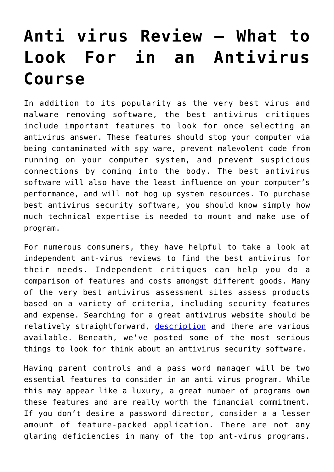## **[Anti virus Review — What to](https://cupidspulse.com/136626/anti-virus-review-what-to-look-for-in-an-antivirus-course/) [Look For in an Antivirus](https://cupidspulse.com/136626/anti-virus-review-what-to-look-for-in-an-antivirus-course/) [Course](https://cupidspulse.com/136626/anti-virus-review-what-to-look-for-in-an-antivirus-course/)**

In addition to its popularity as the very best virus and malware removing software, the best antivirus critiques include important features to look for once selecting an antivirus answer. These features should stop your computer via being contaminated with spy ware, prevent malevolent code from running on your computer system, and prevent suspicious connections by coming into the body. The best antivirus software will also have the least influence on your computer's performance, and will not hog up system resources. To purchase best antivirus security software, you should know simply how much technical expertise is needed to mount and make use of program.

For numerous consumers, they have helpful to take a look at independent ant-virus reviews to find the best antivirus for their needs. Independent critiques can help you do a comparison of features and costs amongst different goods. Many of the very best antivirus assessment sites assess products based on a variety of criteria, including security features and expense. Searching for a great antivirus website should be relatively straightforward, [description](https://mousam-river.com/business/data-room-due-diligence-proven-to-be-resistant-facing-cybersecurity-breach/) and there are various available. Beneath, we've posted some of the most serious things to look for think about an antivirus security software.

Having parent controls and a pass word manager will be two essential features to consider in an anti virus program. While this may appear like a luxury, a great number of programs own these features and are really worth the financial commitment. If you don't desire a password director, consider a a lesser amount of feature-packed application. There are not any glaring deficiencies in many of the top ant-virus programs.